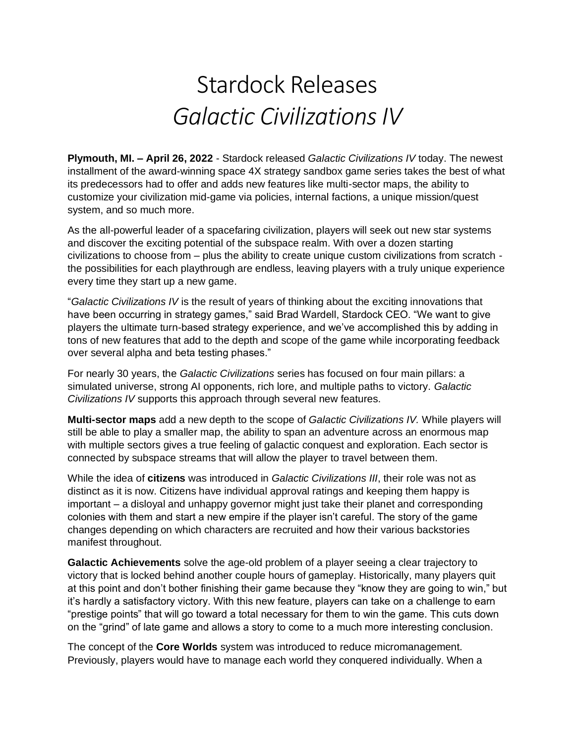## Stardock Releases *Galactic Civilizations IV*

**Plymouth, MI. – April 26, 2022** - Stardock released *Galactic Civilizations IV* today. The newest installment of the award-winning space 4X strategy sandbox game series takes the best of what its predecessors had to offer and adds new features like multi-sector maps, the ability to customize your civilization mid-game via policies, internal factions, a unique mission/quest system, and so much more.

As the all-powerful leader of a spacefaring civilization, players will seek out new star systems and discover the exciting potential of the subspace realm. With over a dozen starting civilizations to choose from – plus the ability to create unique custom civilizations from scratch the possibilities for each playthrough are endless, leaving players with a truly unique experience every time they start up a new game.

"*Galactic Civilizations IV* is the result of years of thinking about the exciting innovations that have been occurring in strategy games," said Brad Wardell, Stardock CEO. "We want to give players the ultimate turn-based strategy experience, and we've accomplished this by adding in tons of new features that add to the depth and scope of the game while incorporating feedback over several alpha and beta testing phases."

For nearly 30 years, the *Galactic Civilizations* series has focused on four main pillars: a simulated universe, strong AI opponents, rich lore, and multiple paths to victory. *Galactic Civilizations IV* supports this approach through several new features.

**Multi-sector maps** add a new depth to the scope of *Galactic Civilizations IV.* While players will still be able to play a smaller map, the ability to span an adventure across an enormous map with multiple sectors gives a true feeling of galactic conquest and exploration. Each sector is connected by subspace streams that will allow the player to travel between them.

While the idea of **citizens** was introduced in *Galactic Civilizations III*, their role was not as distinct as it is now. Citizens have individual approval ratings and keeping them happy is important – a disloyal and unhappy governor might just take their planet and corresponding colonies with them and start a new empire if the player isn't careful. The story of the game changes depending on which characters are recruited and how their various backstories manifest throughout.

**Galactic Achievements** solve the age-old problem of a player seeing a clear trajectory to victory that is locked behind another couple hours of gameplay. Historically, many players quit at this point and don't bother finishing their game because they "know they are going to win," but it's hardly a satisfactory victory. With this new feature, players can take on a challenge to earn "prestige points" that will go toward a total necessary for them to win the game. This cuts down on the "grind" of late game and allows a story to come to a much more interesting conclusion.

The concept of the **Core Worlds** system was introduced to reduce micromanagement. Previously, players would have to manage each world they conquered individually. When a